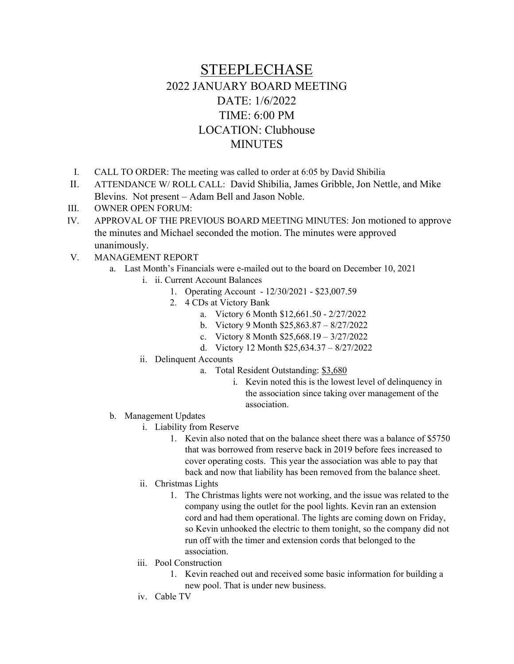## STEEPLECHASE 2022 JANUARY BOARD MEETING DATE: 1/6/2022 TIME: 6:00 PM LOCATION: Clubhouse **MINUTES**

- I. CALL TO ORDER: The meeting was called to order at 6:05 by David Shibilia
- II. ATTENDANCE W/ ROLL CALL: David Shibilia, James Gribble, Jon Nettle, and Mike Blevins. Not present – Adam Bell and Jason Noble.
- III. OWNER OPEN FORUM:
- IV. APPROVAL OF THE PREVIOUS BOARD MEETING MINUTES: Jon motioned to approve the minutes and Michael seconded the motion. The minutes were approved unanimously.
- V. MANAGEMENT REPORT
	- a. Last Month's Financials were e-mailed out to the board on December 10, 2021
		- i. ii. Current Account Balances
			- 1. Operating Account 12/30/2021 \$23,007.59
			- 2. 4 CDs at Victory Bank
				- a. Victory 6 Month \$12,661.50 2/27/2022
				- b. Victory 9 Month \$25,863.87 8/27/2022
				- c. Victory 8 Month \$25,668.19 3/27/2022
				- d. Victory 12 Month \$25,634.37 8/27/2022
		- ii. Delinquent Accounts
			- a. Total Resident Outstanding: \$3,680
				- i. Kevin noted this is the lowest level of delinquency in the association since taking over management of the association.
	- b. Management Updates
		- i. Liability from Reserve
			- 1. Kevin also noted that on the balance sheet there was a balance of \$5750 that was borrowed from reserve back in 2019 before fees increased to cover operating costs. This year the association was able to pay that back and now that liability has been removed from the balance sheet.
			- ii. Christmas Lights
				- 1. The Christmas lights were not working, and the issue was related to the company using the outlet for the pool lights. Kevin ran an extension cord and had them operational. The lights are coming down on Friday, so Kevin unhooked the electric to them tonight, so the company did not run off with the timer and extension cords that belonged to the association.
		- iii. Pool Construction
			- 1. Kevin reached out and received some basic information for building a new pool. That is under new business.
		- iv. Cable TV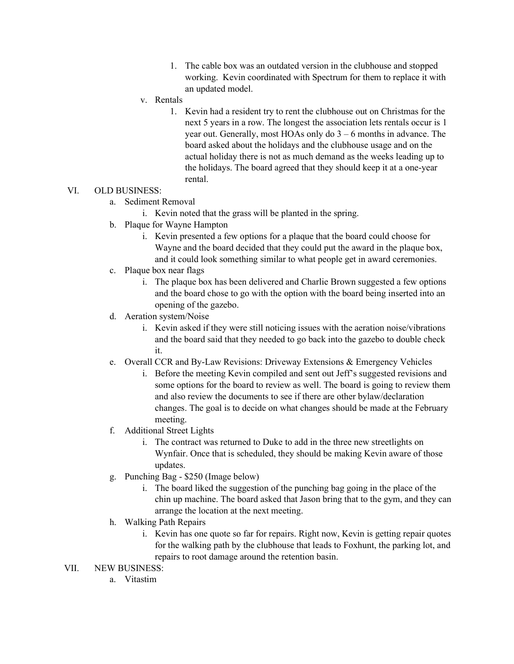- 1. The cable box was an outdated version in the clubhouse and stopped working. Kevin coordinated with Spectrum for them to replace it with an updated model.
- v. Rentals
	- 1. Kevin had a resident try to rent the clubhouse out on Christmas for the next 5 years in a row. The longest the association lets rentals occur is 1 year out. Generally, most HOAs only do 3 – 6 months in advance. The board asked about the holidays and the clubhouse usage and on the actual holiday there is not as much demand as the weeks leading up to the holidays. The board agreed that they should keep it at a one-year rental.

## VI. OLD BUSINESS:

- a. Sediment Removal
	- i. Kevin noted that the grass will be planted in the spring.
- b. Plaque for Wayne Hampton
	- i. Kevin presented a few options for a plaque that the board could choose for Wayne and the board decided that they could put the award in the plaque box, and it could look something similar to what people get in award ceremonies.
- c. Plaque box near flags
	- i. The plaque box has been delivered and Charlie Brown suggested a few options and the board chose to go with the option with the board being inserted into an opening of the gazebo.
- d. Aeration system/Noise
	- i. Kevin asked if they were still noticing issues with the aeration noise/vibrations and the board said that they needed to go back into the gazebo to double check it.
- e. Overall CCR and By-Law Revisions: Driveway Extensions & Emergency Vehicles
	- i. Before the meeting Kevin compiled and sent out Jeff's suggested revisions and some options for the board to review as well. The board is going to review them and also review the documents to see if there are other bylaw/declaration changes. The goal is to decide on what changes should be made at the February meeting.
- f. Additional Street Lights
	- i. The contract was returned to Duke to add in the three new streetlights on Wynfair. Once that is scheduled, they should be making Kevin aware of those updates.
- g. Punching Bag \$250 (Image below)
	- i. The board liked the suggestion of the punching bag going in the place of the chin up machine. The board asked that Jason bring that to the gym, and they can arrange the location at the next meeting.
- h. Walking Path Repairs
	- i. Kevin has one quote so far for repairs. Right now, Kevin is getting repair quotes for the walking path by the clubhouse that leads to Foxhunt, the parking lot, and repairs to root damage around the retention basin.

## VII. NEW BUSINESS:

a. Vitastim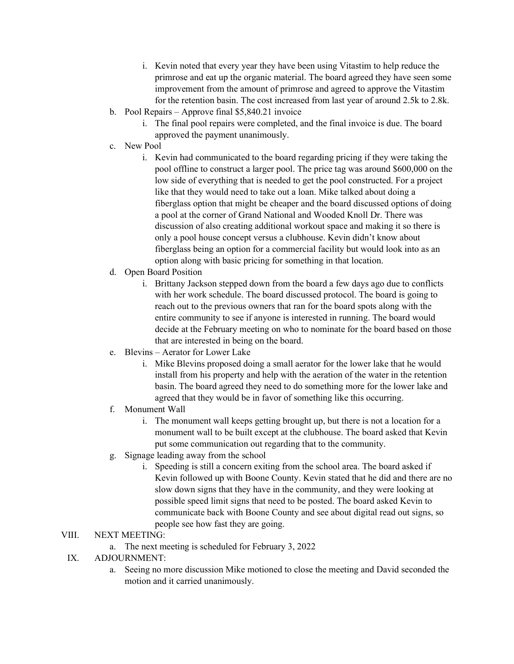- i. Kevin noted that every year they have been using Vitastim to help reduce the primrose and eat up the organic material. The board agreed they have seen some improvement from the amount of primrose and agreed to approve the Vitastim for the retention basin. The cost increased from last year of around 2.5k to 2.8k.
- b. Pool Repairs Approve final \$5,840.21 invoice
	- i. The final pool repairs were completed, and the final invoice is due. The board approved the payment unanimously.
- c. New Pool
	- i. Kevin had communicated to the board regarding pricing if they were taking the pool offline to construct a larger pool. The price tag was around \$600,000 on the low side of everything that is needed to get the pool constructed. For a project like that they would need to take out a loan. Mike talked about doing a fiberglass option that might be cheaper and the board discussed options of doing a pool at the corner of Grand National and Wooded Knoll Dr. There was discussion of also creating additional workout space and making it so there is only a pool house concept versus a clubhouse. Kevin didn't know about fiberglass being an option for a commercial facility but would look into as an option along with basic pricing for something in that location.
- d. Open Board Position
	- i. Brittany Jackson stepped down from the board a few days ago due to conflicts with her work schedule. The board discussed protocol. The board is going to reach out to the previous owners that ran for the board spots along with the entire community to see if anyone is interested in running. The board would decide at the February meeting on who to nominate for the board based on those that are interested in being on the board.
- e. Blevins Aerator for Lower Lake
	- i. Mike Blevins proposed doing a small aerator for the lower lake that he would install from his property and help with the aeration of the water in the retention basin. The board agreed they need to do something more for the lower lake and agreed that they would be in favor of something like this occurring.
- f. Monument Wall
	- i. The monument wall keeps getting brought up, but there is not a location for a monument wall to be built except at the clubhouse. The board asked that Kevin put some communication out regarding that to the community.
- g. Signage leading away from the school
	- i. Speeding is still a concern exiting from the school area. The board asked if Kevin followed up with Boone County. Kevin stated that he did and there are no slow down signs that they have in the community, and they were looking at possible speed limit signs that need to be posted. The board asked Kevin to communicate back with Boone County and see about digital read out signs, so people see how fast they are going.

## VIII. NEXT MEETING:

- a. The next meeting is scheduled for February 3, 2022
- IX. ADJOURNMENT:
	- a. Seeing no more discussion Mike motioned to close the meeting and David seconded the motion and it carried unanimously.